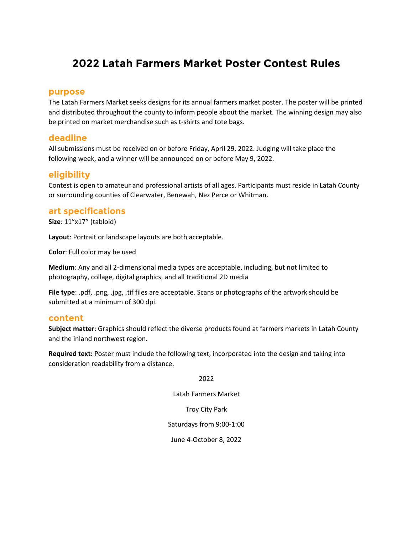# **2022 Latah Farmers Market Poster Contest Rules**

### **purpose**

The Latah Farmers Market seeks designs for its annual farmers market poster. The poster will be printed and distributed throughout the county to inform people about the market. The winning design may also be printed on market merchandise such as t-shirts and tote bags.

# **deadline**

All submissions must be received on or before Friday, April 29, 2022. Judging will take place the following week, and a winner will be announced on or before May 9, 2022.

# **eligibility**

Contest is open to amateur and professional artists of all ages. Participants must reside in Latah County or surrounding counties of Clearwater, Benewah, Nez Perce or Whitman.

#### **art specifications**

**Size**: 11"x17" (tabloid)

**Layout**: Portrait or landscape layouts are both acceptable.

**Color**: Full color may be used

**Medium**: Any and all 2-dimensional media types are acceptable, including, but not limited to photography, collage, digital graphics, and all traditional 2D media

**File type**: .pdf, .png, .jpg, .tif files are acceptable. Scans or photographs of the artwork should be submitted at a minimum of 300 dpi.

#### **content**

**Subject matter**: Graphics should reflect the diverse products found at farmers markets in Latah County and the inland northwest region.

**Required text:** Poster must include the following text, incorporated into the design and taking into consideration readability from a distance.

2022

Latah Farmers Market

Troy City Park

Saturdays from 9:00-1:00

June 4-October 8, 2022